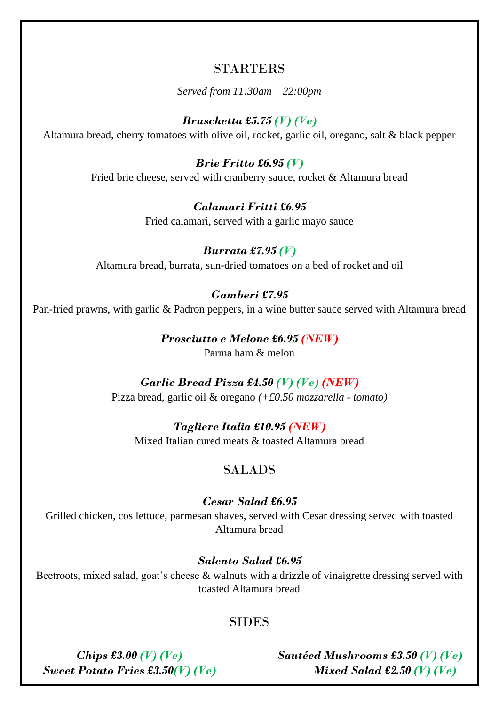## **STARTERS**

*Served from 11:30am – 22:00pm*

## *Bruschetta £5.75 (V) (Ve)*

Altamura bread, cherry tomatoes with olive oil, rocket, garlic oil, oregano, salt & black pepper

*Brie Fritto £6.95 (V)* Fried brie cheese, served with cranberry sauce, rocket & Altamura bread

*Calamari Fritti £6.95*

Fried calamari, served with a garlic mayo sauce

*Burrata £7.95 (V)* Altamura bread, burrata, sun-dried tomatoes on a bed of rocket and oil

#### *Gamberi £7.95*

Pan-fried prawns, with garlic & Padron peppers, in a wine butter sauce served with Altamura bread

*Prosciutto e Melone £6.95 (NEW)* Parma ham & melon

#### *Garlic Bread Pizza £4.50 (V) (Ve) (NEW)* Pizza bread, garlic oil & oregano *(+£0.50 mozzarella - tomato)*

*Tagliere Italia £10.95 (NEW)* Mixed Italian cured meats & toasted Altamura bread

## SALADS

#### *Cesar Salad £6.95*

Grilled chicken, cos lettuce, parmesan shaves, served with Cesar dressing served with toasted Altamura bread

*Salento Salad £6.95*

Beetroots, mixed salad, goat's cheese & walnuts with a drizzle of vinaigrette dressing served with toasted Altamura bread

## **SIDES**

*Chips £3.00 (V) (Ve) Sweet Potato Fries £3.50(V) (Ve)* *Sautéed Mushrooms £3.50 (V) (Ve) Mixed Salad £2.50 (V) (Ve)*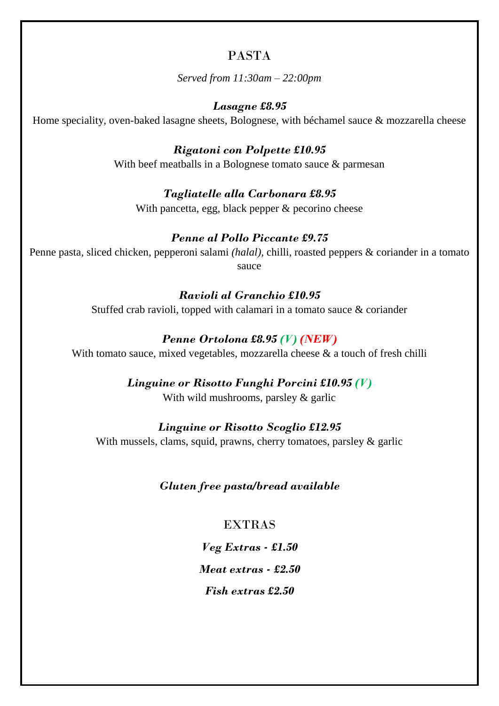# PASTA

*Served from 11:30am – 22:00pm*

## *Lasagne £8.95*

Home speciality, oven-baked lasagne sheets, Bolognese, with béchamel sauce & mozzarella cheese

*Rigatoni con Polpette £10.95*

With beef meatballs in a Bolognese tomato sauce & parmesan

## *Tagliatelle alla Carbonara £8.95*

With pancetta, egg, black pepper & pecorino cheese

## *Penne al Pollo Piccante £9.75*

Penne pasta, sliced chicken, pepperoni salami *(halal),* chilli, roasted peppers & coriander in a tomato sauce

## *Ravioli al Granchio £10.95*

Stuffed crab ravioli, topped with calamari in a tomato sauce & coriander

## *Penne Ortolona £8.95 (V) (NEW)*

With tomato sauce, mixed vegetables, mozzarella cheese & a touch of fresh chilli

## *Linguine or Risotto Funghi Porcini £10.95 (V)*

With wild mushrooms, parsley & garlic

## *Linguine or Risotto Scoglio £12.95*

With mussels, clams, squid, prawns, cherry tomatoes, parsley & garlic

## *Gluten free pasta/bread available*

## EXTRAS

*Veg Extras - £1.50 Meat extras - £2.50*

*Fish extras £2.50*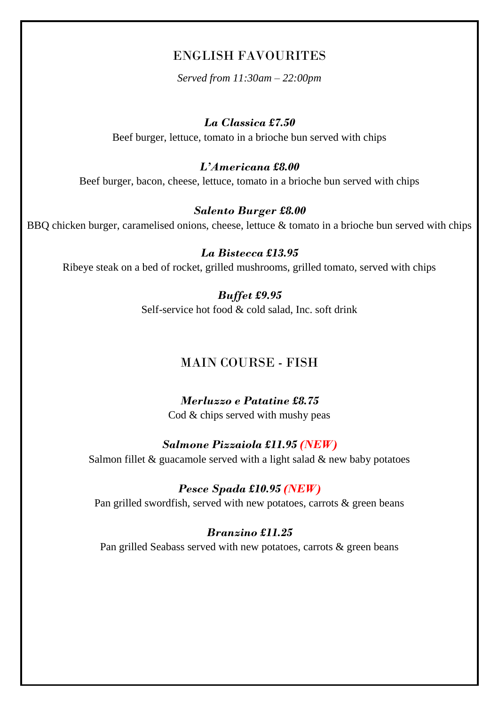## ENGLISH FAVOURITES

*Served from 11:30am – 22:00pm*

#### *La Classica £7.50*

Beef burger, lettuce, tomato in a brioche bun served with chips

#### *L'Americana £8.00*

Beef burger, bacon, cheese, lettuce, tomato in a brioche bun served with chips

#### *Salento Burger £8.00*

BBQ chicken burger, caramelised onions, cheese, lettuce & tomato in a brioche bun served with chips

*La Bistecca £13.95* Ribeye steak on a bed of rocket, grilled mushrooms, grilled tomato, served with chips

## *Buffet £9.95* Self-service hot food & cold salad, Inc. soft drink

## MAIN COURSE - FISH

#### *Merluzzo e Patatine £8.75* Cod & chips served with mushy peas

#### *Salmone Pizzaiola £11.95 (NEW)*

Salmon fillet  $&$  guacamole served with a light salad  $&$  new baby potatoes

#### *Pesce Spada £10.95 (NEW)*

Pan grilled swordfish, served with new potatoes, carrots & green beans

#### *Branzino £11.25*

Pan grilled Seabass served with new potatoes, carrots & green beans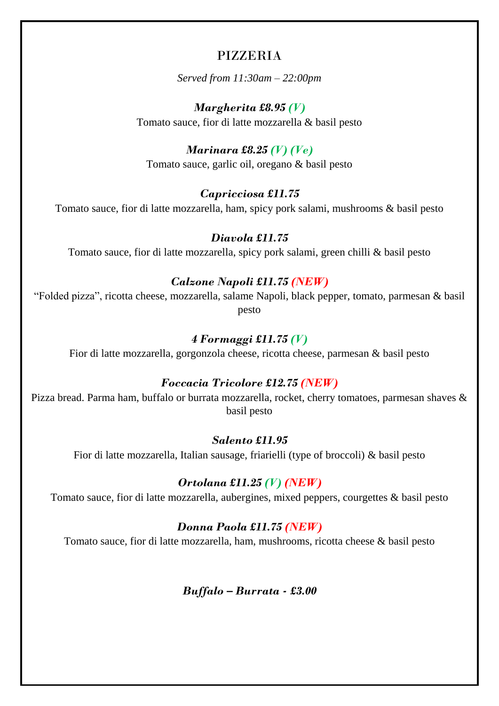## PIZZERIA

*Served from 11:30am – 22:00pm*

*Margherita £8.95 (V)* Tomato sauce, fior di latte mozzarella & basil pesto

## *Marinara £8.25 (V) (Ve)*

Tomato sauce, garlic oil, oregano & basil pesto

## *Capricciosa £11.75*

Tomato sauce, fior di latte mozzarella, ham, spicy pork salami, mushrooms & basil pesto

#### *Diavola £11.75*

Tomato sauce, fior di latte mozzarella, spicy pork salami, green chilli & basil pesto

#### *Calzone Napoli £11.75 (NEW)*

"Folded pizza", ricotta cheese, mozzarella, salame Napoli, black pepper, tomato, parmesan & basil pesto

#### *4 Formaggi £11.75 (V)*

Fior di latte mozzarella, gorgonzola cheese, ricotta cheese, parmesan & basil pesto

## *Foccacia Tricolore £12.75 (NEW)*

Pizza bread. Parma ham, buffalo or burrata mozzarella, rocket, cherry tomatoes, parmesan shaves & basil pesto

#### *Salento £11.95*

Fior di latte mozzarella, Italian sausage, friarielli (type of broccoli) & basil pesto

## *Ortolana £11.25 (V) (NEW)*

Tomato sauce, fior di latte mozzarella, aubergines, mixed peppers, courgettes & basil pesto

## *Donna Paola £11.75 (NEW)*

Tomato sauce, fior di latte mozzarella, ham, mushrooms, ricotta cheese & basil pesto

*Buffalo – Burrata - £3.00*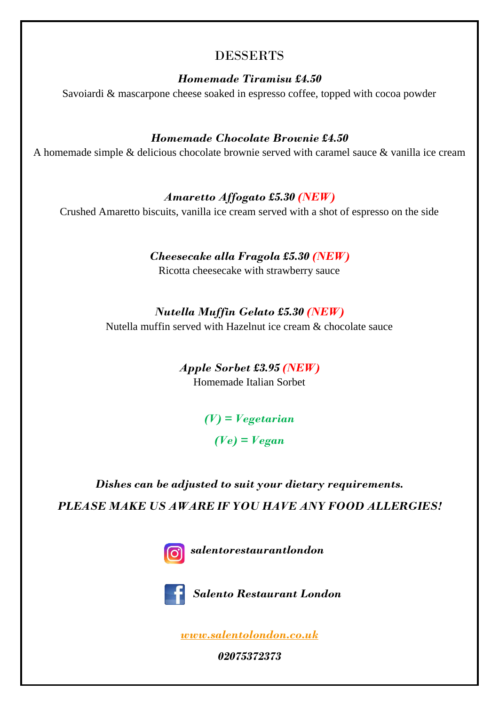# DESSERTS

*Homemade Tiramisu £4.50*

Savoiardi & mascarpone cheese soaked in espresso coffee, topped with cocoa powder

## *Homemade Chocolate Brownie £4.50*

A homemade simple & delicious chocolate brownie served with caramel sauce & vanilla ice cream

## *Amaretto Affogato £5.30 (NEW)*

Crushed Amaretto biscuits, vanilla ice cream served with a shot of espresso on the side

## *Cheesecake alla Fragola £5.30 (NEW)*

Ricotta cheesecake with strawberry sauce

## *Nutella Muffin Gelato £5.30 (NEW)*

Nutella muffin served with Hazelnut ice cream & chocolate sauce

*Apple Sorbet £3.95 (NEW)* Homemade Italian Sorbet

> *(V) = Vegetarian (Ve) = Vegan*

# *Dishes can be adjusted to suit your dietary requirements. PLEASE MAKE US AWARE IF YOU HAVE ANY FOOD ALLERGIES!*



*salentorestaurantlondon*



 *Salento Restaurant London*

*[www.salentolondon.co.uk](http://www.salentolondon.co.uk/)*

*02075372373*